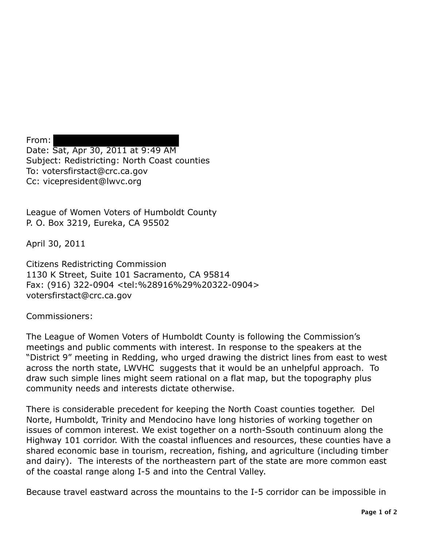From: Date: Sat, Apr 30, 2011 at 9:49 AM Subject: Redistricting: North Coast counties To: votersfirstact@crc.ca.gov Cc: vicepresident@lwvc.org

League of Women Voters of Humboldt County P. O. Box 3219, Eureka, CA 95502

April 30, 2011

Citizens Redistricting Commission 1130 K Street, Suite 101 Sacramento, CA 95814 Fax: (916) 322-0904 <tel:%28916%29%20322-0904> votersfirstact@crc.ca.gov

Commissioners:

The League of Women Voters of Humboldt County is following the Commission's meetings and public comments with interest. In response to the speakers at the "District 9" meeting in Redding, who urged drawing the district lines from east to west across the north state, LWVHC suggests that it would be an unhelpful approach. To draw such simple lines might seem rational on a flat map, but the topography plus community needs and interests dictate otherwise.

There is considerable precedent for keeping the North Coast counties together. Del Norte, Humboldt, Trinity and Mendocino have long histories of working together on issues of common interest. We exist together on a north-Ssouth continuum along the Highway 101 corridor. With the coastal influences and resources, these counties have a shared economic base in tourism, recreation, fishing, and agriculture (including timber and dairy). The interests of the northeastern part of the state are more common east of the coastal range along I-5 and into the Central Valley.

Because travel eastward across the mountains to the I-5 corridor can be impossible in